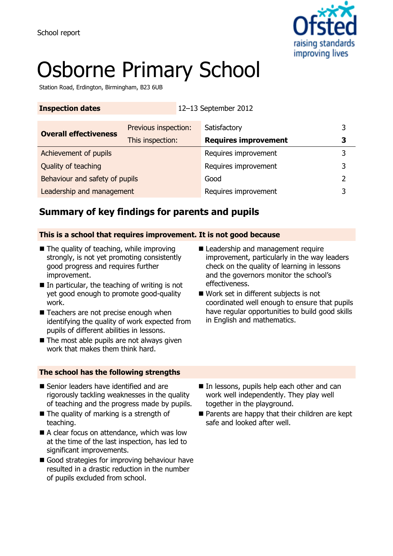

# Osborne Primary School

Station Road, Erdington, Birmingham, B23 6UB

| <b>Inspection dates</b>        |                      | 12-13 September 2012        |   |
|--------------------------------|----------------------|-----------------------------|---|
| <b>Overall effectiveness</b>   | Previous inspection: | Satisfactory                | 3 |
|                                | This inspection:     | <b>Requires improvement</b> | 3 |
| Achievement of pupils          |                      | Requires improvement        | 3 |
| Quality of teaching            |                      | Requires improvement        | 3 |
| Behaviour and safety of pupils |                      | Good                        |   |
| Leadership and management      |                      | Requires improvement        |   |

### **Summary of key findings for parents and pupils**

### **This is a school that requires improvement. It is not good because**

- The quality of teaching, while improving strongly, is not yet promoting consistently good progress and requires further improvement.
- $\blacksquare$  In particular, the teaching of writing is not yet good enough to promote good-quality work.
- Teachers are not precise enough when identifying the quality of work expected from pupils of different abilities in lessons.
- $\blacksquare$  The most able pupils are not always given work that makes them think hard.

#### **The school has the following strengths**

- Leadership and management require improvement, particularly in the way leaders check on the quality of learning in lessons and the governors monitor the school's effectiveness.
- Work set in different subjects is not coordinated well enough to ensure that pupils have regular opportunities to build good skills in English and mathematics.

- Senior leaders have identified and are rigorously tackling weaknesses in the quality of teaching and the progress made by pupils.
- The quality of marking is a strength of teaching.
- A clear focus on attendance, which was low at the time of the last inspection, has led to significant improvements.
- Good strategies for improving behaviour have resulted in a drastic reduction in the number of pupils excluded from school.
- In lessons, pupils help each other and can work well independently. They play well together in the playground.
- Parents are happy that their children are kept safe and looked after well.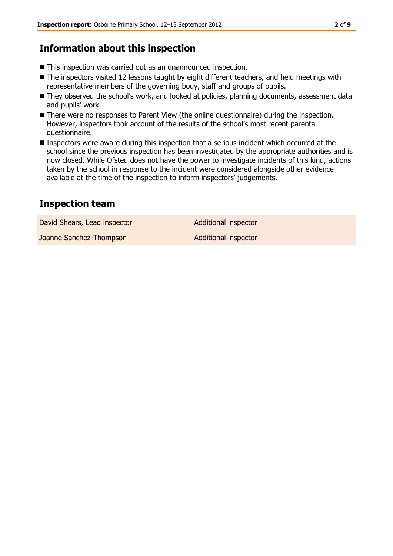### **Information about this inspection**

- This inspection was carried out as an unannounced inspection.
- The inspectors visited 12 lessons taught by eight different teachers, and held meetings with representative members of the governing body, staff and groups of pupils.
- **They observed the school's work, and looked at policies, planning documents, assessment data** and pupils' work.
- There were no responses to Parent View (the online questionnaire) during the inspection. However, inspectors took account of the results of the school's most recent parental questionnaire.
- **Inspectors were aware during this inspection that a serious incident which occurred at the** school since the previous inspection has been investigated by the appropriate authorities and is now closed. While Ofsted does not have the power to investigate incidents of this kind, actions taken by the school in response to the incident were considered alongside other evidence available at the time of the inspection to inform inspectors' judgements.

### **Inspection team**

David Shears, Lead inspector **Additional inspector** 

Joanne Sanchez-Thompson Additional inspector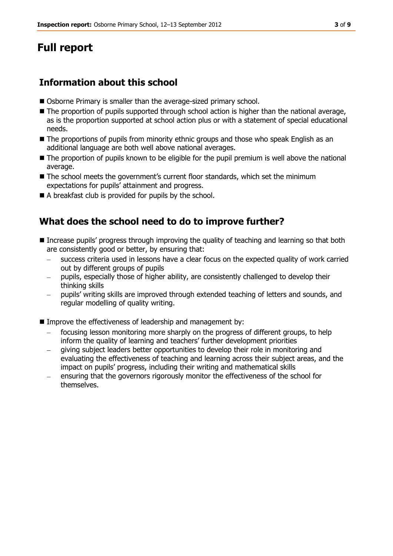## **Full report**

### **Information about this school**

- Osborne Primary is smaller than the average-sized primary school.
- $\blacksquare$  The proportion of pupils supported through school action is higher than the national average, as is the proportion supported at school action plus or with a statement of special educational needs.
- The proportions of pupils from minority ethnic groups and those who speak English as an additional language are both well above national averages.
- $\blacksquare$  The proportion of pupils known to be eligible for the pupil premium is well above the national average.
- The school meets the government's current floor standards, which set the minimum expectations for pupils' attainment and progress.
- A breakfast club is provided for pupils by the school.

### **What does the school need to do to improve further?**

- Increase pupils' progress through improving the quality of teaching and learning so that both are consistently good or better, by ensuring that:
	- success criteria used in lessons have a clear focus on the expected quality of work carried out by different groups of pupils
	- pupils, especially those of higher ability, are consistently challenged to develop their thinking skills
	- pupils' writing skills are improved through extended teaching of letters and sounds, and regular modelling of quality writing.
- Improve the effectiveness of leadership and management by:
	- focusing lesson monitoring more sharply on the progress of different groups, to help inform the quality of learning and teachers' further development priorities
	- giving subject leaders better opportunities to develop their role in monitoring and evaluating the effectiveness of teaching and learning across their subject areas, and the impact on pupils' progress, including their writing and mathematical skills
	- ensuring that the governors rigorously monitor the effectiveness of the school for themselves.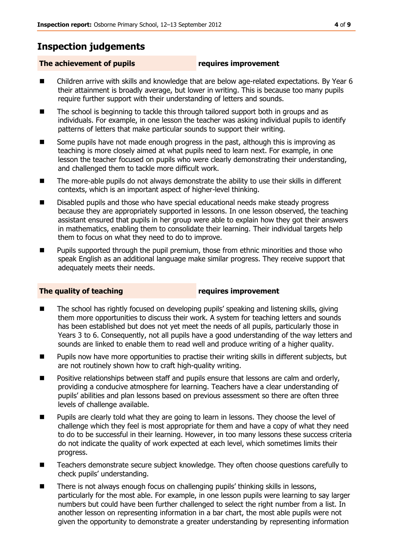### **Inspection judgements**

### **The achievement of pupils requires improvement**

- Children arrive with skills and knowledge that are below age-related expectations. By Year 6 their attainment is broadly average, but lower in writing. This is because too many pupils require further support with their understanding of letters and sounds.
- The school is beginning to tackle this through tailored support both in groups and as individuals. For example, in one lesson the teacher was asking individual pupils to identify patterns of letters that make particular sounds to support their writing.
- Some pupils have not made enough progress in the past, although this is improving as teaching is more closely aimed at what pupils need to learn next. For example, in one lesson the teacher focused on pupils who were clearly demonstrating their understanding, and challenged them to tackle more difficult work.
- The more-able pupils do not always demonstrate the ability to use their skills in different contexts, which is an important aspect of higher-level thinking.
- Disabled pupils and those who have special educational needs make steady progress because they are appropriately supported in lessons. In one lesson observed, the teaching assistant ensured that pupils in her group were able to explain how they got their answers in mathematics, enabling them to consolidate their learning. Their individual targets help them to focus on what they need to do to improve.
- Pupils supported through the pupil premium, those from ethnic minorities and those who speak English as an additional language make similar progress. They receive support that adequately meets their needs.

#### **The quality of teaching requires improvement**

- The school has rightly focused on developing pupils' speaking and listening skills, giving them more opportunities to discuss their work. A system for teaching letters and sounds has been established but does not yet meet the needs of all pupils, particularly those in Years 3 to 6. Consequently, not all pupils have a good understanding of the way letters and sounds are linked to enable them to read well and produce writing of a higher quality.
- **Pupils now have more opportunities to practise their writing skills in different subjects, but** are not routinely shown how to craft high-quality writing.
- **P** Positive relationships between staff and pupils ensure that lessons are calm and orderly, providing a conducive atmosphere for learning. Teachers have a clear understanding of pupils' abilities and plan lessons based on previous assessment so there are often three levels of challenge available.
- Pupils are clearly told what they are going to learn in lessons. They choose the level of challenge which they feel is most appropriate for them and have a copy of what they need to do to be successful in their learning. However, in too many lessons these success criteria do not indicate the quality of work expected at each level, which sometimes limits their progress.
- Teachers demonstrate secure subject knowledge. They often choose questions carefully to check pupils' understanding.
- There is not always enough focus on challenging pupils' thinking skills in lessons, particularly for the most able. For example, in one lesson pupils were learning to say larger numbers but could have been further challenged to select the right number from a list. In another lesson on representing information in a bar chart, the most able pupils were not given the opportunity to demonstrate a greater understanding by representing information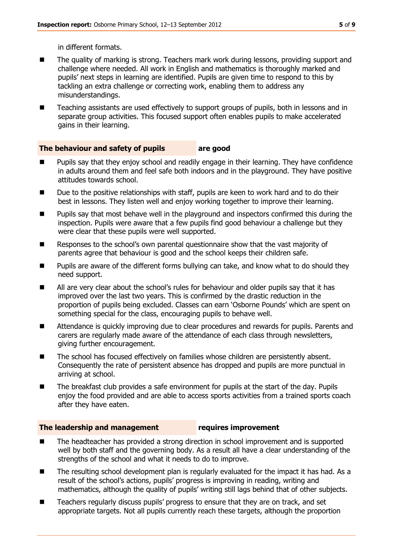in different formats.

- The quality of marking is strong. Teachers mark work during lessons, providing support and challenge where needed. All work in English and mathematics is thoroughly marked and pupils' next steps in learning are identified. Pupils are given time to respond to this by tackling an extra challenge or correcting work, enabling them to address any misunderstandings.
- Teaching assistants are used effectively to support groups of pupils, both in lessons and in separate group activities. This focused support often enables pupils to make accelerated gains in their learning.

### **The behaviour and safety of pupils are good**

- Pupils say that they enjoy school and readily engage in their learning. They have confidence in adults around them and feel safe both indoors and in the playground. They have positive attitudes towards school.
- Due to the positive relationships with staff, pupils are keen to work hard and to do their best in lessons. They listen well and enjoy working together to improve their learning.
- Pupils say that most behave well in the playground and inspectors confirmed this during the inspection. Pupils were aware that a few pupils find good behaviour a challenge but they were clear that these pupils were well supported.
- **EXECT** Responses to the school's own parental questionnaire show that the vast majority of parents agree that behaviour is good and the school keeps their children safe.
- Pupils are aware of the different forms bullying can take, and know what to do should they need support.
- All are very clear about the school's rules for behaviour and older pupils say that it has improved over the last two years. This is confirmed by the drastic reduction in the proportion of pupils being excluded. Classes can earn 'Osborne Pounds' which are spent on something special for the class, encouraging pupils to behave well.
- Attendance is quickly improving due to clear procedures and rewards for pupils. Parents and carers are regularly made aware of the attendance of each class through newsletters, giving further encouragement.
- The school has focused effectively on families whose children are persistently absent. Consequently the rate of persistent absence has dropped and pupils are more punctual in arriving at school.
- The breakfast club provides a safe environment for pupils at the start of the day. Pupils enjoy the food provided and are able to access sports activities from a trained sports coach after they have eaten.

#### **The leadership and management requires improvement**

- The headteacher has provided a strong direction in school improvement and is supported well by both staff and the governing body. As a result all have a clear understanding of the strengths of the school and what it needs to do to improve.
- The resulting school development plan is regularly evaluated for the impact it has had. As a result of the school's actions, pupils' progress is improving in reading, writing and mathematics, although the quality of pupils' writing still lags behind that of other subjects.
- Teachers regularly discuss pupils' progress to ensure that they are on track, and set appropriate targets. Not all pupils currently reach these targets, although the proportion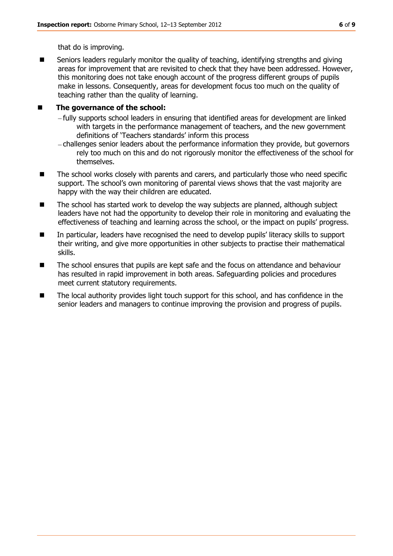that do is improving.

■ Seniors leaders regularly monitor the quality of teaching, identifying strengths and giving areas for improvement that are revisited to check that they have been addressed. However, this monitoring does not take enough account of the progress different groups of pupils make in lessons. Consequently, areas for development focus too much on the quality of teaching rather than the quality of learning.

### ■ The governance of the school:

- fully supports school leaders in ensuring that identified areas for development are linked with targets in the performance management of teachers, and the new government definitions of 'Teachers standards' inform this process
- challenges senior leaders about the performance information they provide, but governors rely too much on this and do not rigorously monitor the effectiveness of the school for themselves.
- The school works closely with parents and carers, and particularly those who need specific support. The school's own monitoring of parental views shows that the vast majority are happy with the way their children are educated.
- The school has started work to develop the way subjects are planned, although subject leaders have not had the opportunity to develop their role in monitoring and evaluating the effectiveness of teaching and learning across the school, or the impact on pupils' progress.
- In particular, leaders have recognised the need to develop pupils' literacy skills to support their writing, and give more opportunities in other subjects to practise their mathematical skills.
- The school ensures that pupils are kept safe and the focus on attendance and behaviour has resulted in rapid improvement in both areas. Safeguarding policies and procedures meet current statutory requirements.
- The local authority provides light touch support for this school, and has confidence in the senior leaders and managers to continue improving the provision and progress of pupils.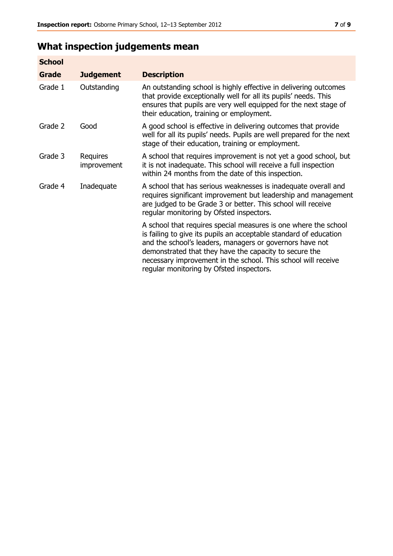## **What inspection judgements mean**

| <b>School</b> |                         |                                                                                                                                                                                                                                                                                                                                                                         |
|---------------|-------------------------|-------------------------------------------------------------------------------------------------------------------------------------------------------------------------------------------------------------------------------------------------------------------------------------------------------------------------------------------------------------------------|
| Grade         | <b>Judgement</b>        | <b>Description</b>                                                                                                                                                                                                                                                                                                                                                      |
| Grade 1       | Outstanding             | An outstanding school is highly effective in delivering outcomes<br>that provide exceptionally well for all its pupils' needs. This<br>ensures that pupils are very well equipped for the next stage of<br>their education, training or employment.                                                                                                                     |
| Grade 2       | Good                    | A good school is effective in delivering outcomes that provide<br>well for all its pupils' needs. Pupils are well prepared for the next<br>stage of their education, training or employment.                                                                                                                                                                            |
| Grade 3       | Requires<br>improvement | A school that requires improvement is not yet a good school, but<br>it is not inadequate. This school will receive a full inspection<br>within 24 months from the date of this inspection.                                                                                                                                                                              |
| Grade 4       | Inadequate              | A school that has serious weaknesses is inadequate overall and<br>requires significant improvement but leadership and management<br>are judged to be Grade 3 or better. This school will receive<br>regular monitoring by Ofsted inspectors.                                                                                                                            |
|               |                         | A school that requires special measures is one where the school<br>is failing to give its pupils an acceptable standard of education<br>and the school's leaders, managers or governors have not<br>demonstrated that they have the capacity to secure the<br>necessary improvement in the school. This school will receive<br>regular monitoring by Ofsted inspectors. |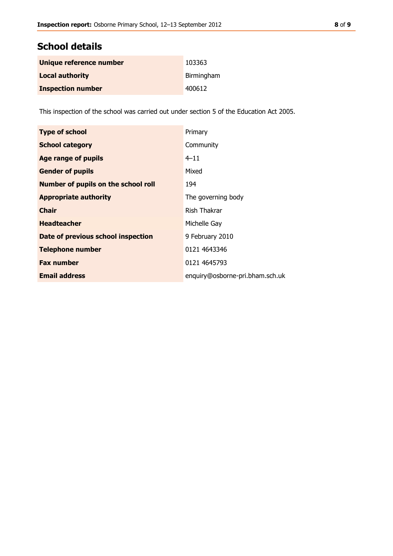### **School details**

| Unique reference number  | 103363     |
|--------------------------|------------|
| <b>Local authority</b>   | Birmingham |
| <b>Inspection number</b> | 400612     |

This inspection of the school was carried out under section 5 of the Education Act 2005.

| <b>Type of school</b>                      | Primary                         |
|--------------------------------------------|---------------------------------|
| <b>School category</b>                     | Community                       |
| <b>Age range of pupils</b>                 | $4 - 11$                        |
| <b>Gender of pupils</b>                    | Mixed                           |
| <b>Number of pupils on the school roll</b> | 194                             |
| <b>Appropriate authority</b>               | The governing body              |
| <b>Chair</b>                               | Rish Thakrar                    |
| <b>Headteacher</b>                         | Michelle Gay                    |
| Date of previous school inspection         | 9 February 2010                 |
| <b>Telephone number</b>                    | 0121 4643346                    |
| <b>Fax number</b>                          | 0121 4645793                    |
| <b>Email address</b>                       | enquiry@osborne-pri.bham.sch.uk |